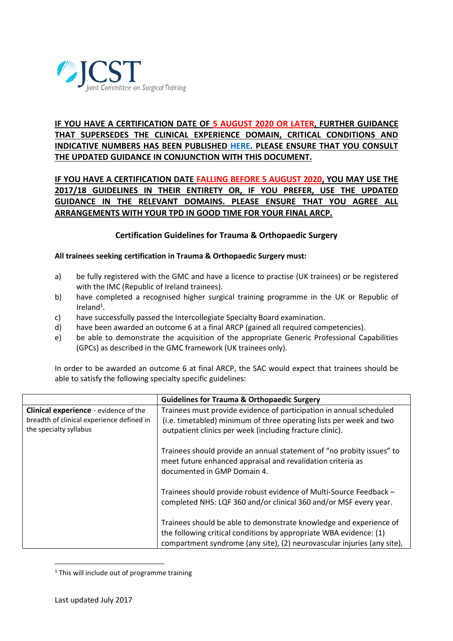

# **IF YOU HAVE A CERTIFICATION DATE OF 5 AUGUST 2020 OR LATER, FURTHER GUIDANCE THAT SUPERSEDES THE CLINICAL EXPERIENCE DOMAIN, CRITICAL CONDITIONS AND INDICATIVE NUMBERS HAS BEEN PUBLISHED [HERE.](https://www.jcst.org/-/media/files/jcst/certification-guidelines-and-checklists/update-to-201718-certification-guidelines-to-final.pdf) PLEASE ENSURE THAT YOU CONSULT THE UPDATED GUIDANCE IN CONJUNCTION WITH THIS DOCUMENT.**

# **IF YOU HAVE A CERTIFICATION DATE FALLING BEFORE 5 AUGUST 2020, YOU MAY USE THE 2017/18 GUIDELINES IN THEIR ENTIRETY OR, IF YOU PREFER, USE THE UPDATED GUIDANCE IN THE RELEVANT DOMAINS. PLEASE ENSURE THAT YOU AGREE ALL ARRANGEMENTS WITH YOUR TPD IN GOOD TIME FOR YOUR FINAL ARCP.**

## **Certification Guidelines for Trauma & Orthopaedic Surgery**

#### **All trainees seeking certification in Trauma & Orthopaedic Surgery must:**

- a) be fully registered with the GMC and have a licence to practise (UK trainees) or be registered with the IMC (Republic of Ireland trainees).
- b) have completed a recognised higher surgical training programme in the UK or Republic of Ireland<sup>1</sup>.
- c) have successfully passed the Intercollegiate Specialty Board examination.
- d) have been awarded an outcome 6 at a final ARCP (gained all required competencies).
- e) be able to demonstrate the acquisition of the appropriate Generic Professional Capabilities (GPCs) as described in the GMC framework (UK trainees only).

In order to be awarded an outcome 6 at final ARCP, the SAC would expect that trainees should be able to satisfy the following specialty specific guidelines:

|                                                                                                                     | <b>Guidelines for Trauma &amp; Orthopaedic Surgery</b>                                                                                                                                                              |  |  |
|---------------------------------------------------------------------------------------------------------------------|---------------------------------------------------------------------------------------------------------------------------------------------------------------------------------------------------------------------|--|--|
| <b>Clinical experience</b> - evidence of the<br>breadth of clinical experience defined in<br>the specialty syllabus | Trainees must provide evidence of participation in annual scheduled<br>(i.e. timetabled) minimum of three operating lists per week and two<br>outpatient clinics per week (including fracture clinic).              |  |  |
|                                                                                                                     | Trainees should provide an annual statement of "no probity issues" to<br>meet future enhanced appraisal and revalidation criteria as<br>documented in GMP Domain 4.                                                 |  |  |
|                                                                                                                     | Trainees should provide robust evidence of Multi-Source Feedback -<br>completed NHS: LQF 360 and/or clinical 360 and/or MSF every year.                                                                             |  |  |
|                                                                                                                     | Trainees should be able to demonstrate knowledge and experience of<br>the following critical conditions by appropriate WBA evidence: (1)<br>compartment syndrome (any site), (2) neurovascular injuries (any site), |  |  |

 $1$  This will include out of programme training

**.**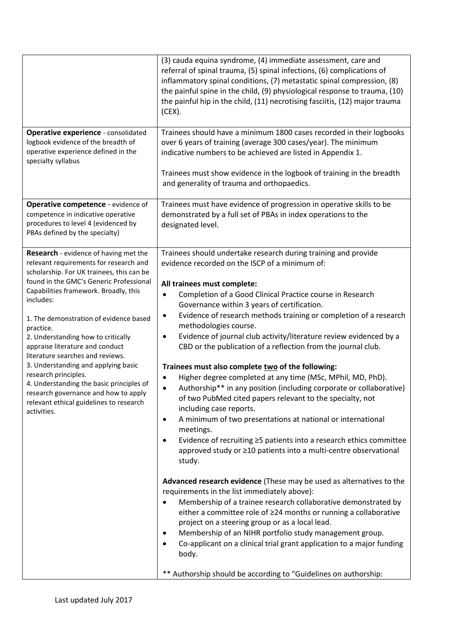|                                                                                                                                                                                                                                                                                                                                                                                                                                                                                                                                                                                                                       | (3) cauda equina syndrome, (4) immediate assessment, care and<br>referral of spinal trauma, (5) spinal infections, (6) complications of<br>inflammatory spinal conditions, (7) metastatic spinal compression, (8)<br>the painful spine in the child, (9) physiological response to trauma, (10)<br>the painful hip in the child, (11) necrotising fasciitis, (12) major trauma<br>(CEX).                                                                                                                                                                                                                                                                                                                                                                                                                                                                                                                                                                                                                                                                                                                                                                                                                                                                                                                                                                                                                                                                                                                                                                                                                                     |  |  |
|-----------------------------------------------------------------------------------------------------------------------------------------------------------------------------------------------------------------------------------------------------------------------------------------------------------------------------------------------------------------------------------------------------------------------------------------------------------------------------------------------------------------------------------------------------------------------------------------------------------------------|------------------------------------------------------------------------------------------------------------------------------------------------------------------------------------------------------------------------------------------------------------------------------------------------------------------------------------------------------------------------------------------------------------------------------------------------------------------------------------------------------------------------------------------------------------------------------------------------------------------------------------------------------------------------------------------------------------------------------------------------------------------------------------------------------------------------------------------------------------------------------------------------------------------------------------------------------------------------------------------------------------------------------------------------------------------------------------------------------------------------------------------------------------------------------------------------------------------------------------------------------------------------------------------------------------------------------------------------------------------------------------------------------------------------------------------------------------------------------------------------------------------------------------------------------------------------------------------------------------------------------|--|--|
| <b>Operative experience - consolidated</b><br>logbook evidence of the breadth of<br>operative experience defined in the<br>specialty syllabus                                                                                                                                                                                                                                                                                                                                                                                                                                                                         | Trainees should have a minimum 1800 cases recorded in their logbooks<br>over 6 years of training (average 300 cases/year). The minimum<br>indicative numbers to be achieved are listed in Appendix 1.<br>Trainees must show evidence in the logbook of training in the breadth<br>and generality of trauma and orthopaedics.                                                                                                                                                                                                                                                                                                                                                                                                                                                                                                                                                                                                                                                                                                                                                                                                                                                                                                                                                                                                                                                                                                                                                                                                                                                                                                 |  |  |
| Operative competence - evidence of<br>competence in indicative operative<br>procedures to level 4 (evidenced by<br>PBAs defined by the specialty)                                                                                                                                                                                                                                                                                                                                                                                                                                                                     | Trainees must have evidence of progression in operative skills to be<br>demonstrated by a full set of PBAs in index operations to the<br>designated level.                                                                                                                                                                                                                                                                                                                                                                                                                                                                                                                                                                                                                                                                                                                                                                                                                                                                                                                                                                                                                                                                                                                                                                                                                                                                                                                                                                                                                                                                   |  |  |
| <b>Research</b> - evidence of having met the<br>relevant requirements for research and<br>scholarship. For UK trainees, this can be<br>found in the GMC's Generic Professional<br>Capabilities framework. Broadly, this<br>includes:<br>1. The demonstration of evidence based<br>practice.<br>2. Understanding how to critically<br>appraise literature and conduct<br>literature searches and reviews.<br>3. Understanding and applying basic<br>research principles.<br>4. Understanding the basic principles of<br>research governance and how to apply<br>relevant ethical guidelines to research<br>activities. | Trainees should undertake research during training and provide<br>evidence recorded on the ISCP of a minimum of:<br>All trainees must complete:<br>Completion of a Good Clinical Practice course in Research<br>٠<br>Governance within 3 years of certification.<br>Evidence of research methods training or completion of a research<br>٠<br>methodologies course.<br>Evidence of journal club activity/literature review evidenced by a<br>$\bullet$<br>CBD or the publication of a reflection from the journal club.<br>Trainees must also complete two of the following:<br>Higher degree completed at any time (MSc, MPhil, MD, PhD).<br>$\bullet$<br>Authorship** in any position (including corporate or collaborative)<br>$\bullet$<br>of two PubMed cited papers relevant to the specialty, not<br>including case reports.<br>A minimum of two presentations at national or international<br>$\bullet$<br>meetings.<br>Evidence of recruiting ≥5 patients into a research ethics committee<br>٠<br>approved study or ≥10 patients into a multi-centre observational<br>study.<br>Advanced research evidence (These may be used as alternatives to the<br>requirements in the list immediately above):<br>Membership of a trainee research collaborative demonstrated by<br>either a committee role of ≥24 months or running a collaborative<br>project on a steering group or as a local lead.<br>Membership of an NIHR portfolio study management group.<br>٠<br>Co-applicant on a clinical trial grant application to a major funding<br>body.<br>** Authorship should be according to "Guidelines on authorship: |  |  |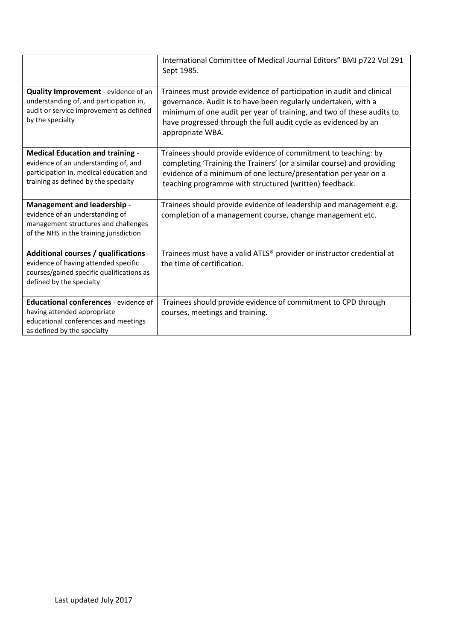|                                                                                                                                                                    | International Committee of Medical Journal Editors" BMJ p722 Vol 291<br>Sept 1985.                                                                                                                                                                                                                      |  |  |
|--------------------------------------------------------------------------------------------------------------------------------------------------------------------|---------------------------------------------------------------------------------------------------------------------------------------------------------------------------------------------------------------------------------------------------------------------------------------------------------|--|--|
| Quality Improvement - evidence of an<br>understanding of, and participation in,<br>audit or service improvement as defined<br>by the specialty                     | Trainees must provide evidence of participation in audit and clinical<br>governance. Audit is to have been regularly undertaken, with a<br>minimum of one audit per year of training, and two of these audits to<br>have progressed through the full audit cycle as evidenced by an<br>appropriate WBA. |  |  |
| <b>Medical Education and training -</b><br>evidence of an understanding of, and<br>participation in, medical education and<br>training as defined by the specialty | Trainees should provide evidence of commitment to teaching: by<br>completing 'Training the Trainers' (or a similar course) and providing<br>evidence of a minimum of one lecture/presentation per year on a<br>teaching programme with structured (written) feedback.                                   |  |  |
| <b>Management and leadership -</b><br>evidence of an understanding of<br>management structures and challenges<br>of the NHS in the training jurisdiction           | Trainees should provide evidence of leadership and management e.g.<br>completion of a management course, change management etc.                                                                                                                                                                         |  |  |
| Additional courses / qualifications -<br>evidence of having attended specific<br>courses/gained specific qualifications as<br>defined by the specialty             | Trainees must have a valid ATLS® provider or instructor credential at<br>the time of certification.                                                                                                                                                                                                     |  |  |
| <b>Educational conferences - evidence of</b><br>having attended appropriate<br>educational conferences and meetings<br>as defined by the specialty                 | Trainees should provide evidence of commitment to CPD through<br>courses, meetings and training.                                                                                                                                                                                                        |  |  |